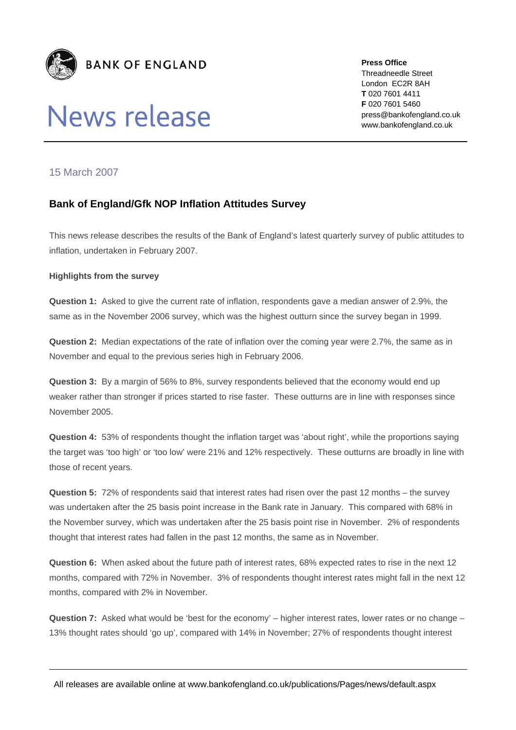

# News release

**Press Office**  Threadneedle Street London EC2R 8AH **T** 020 7601 4411 **F** 020 7601 5460 press@bankofengland.co.uk www.bankofengland.co.uk

## 15 March 2007

## **Bank of England/Gfk NOP Inflation Attitudes Survey**

This news release describes the results of the Bank of England's latest quarterly survey of public attitudes to inflation, undertaken in February 2007.

#### **Highlights from the survey**

**Question 1:** Asked to give the current rate of inflation, respondents gave a median answer of 2.9%, the same as in the November 2006 survey, which was the highest outturn since the survey began in 1999.

**Question 2:** Median expectations of the rate of inflation over the coming year were 2.7%, the same as in November and equal to the previous series high in February 2006.

**Question 3:** By a margin of 56% to 8%, survey respondents believed that the economy would end up weaker rather than stronger if prices started to rise faster. These outturns are in line with responses since November 2005.

**Question 4:** 53% of respondents thought the inflation target was 'about right', while the proportions saying the target was 'too high' or 'too low' were 21% and 12% respectively. These outturns are broadly in line with those of recent years.

**Question 5:** 72% of respondents said that interest rates had risen over the past 12 months – the survey was undertaken after the 25 basis point increase in the Bank rate in January. This compared with 68% in the November survey, which was undertaken after the 25 basis point rise in November. 2% of respondents thought that interest rates had fallen in the past 12 months, the same as in November.

**Question 6:** When asked about the future path of interest rates, 68% expected rates to rise in the next 12 months, compared with 72% in November. 3% of respondents thought interest rates might fall in the next 12 months, compared with 2% in November.

**Question 7:** Asked what would be 'best for the economy' – higher interest rates, lower rates or no change – 13% thought rates should 'go up', compared with 14% in November; 27% of respondents thought interest